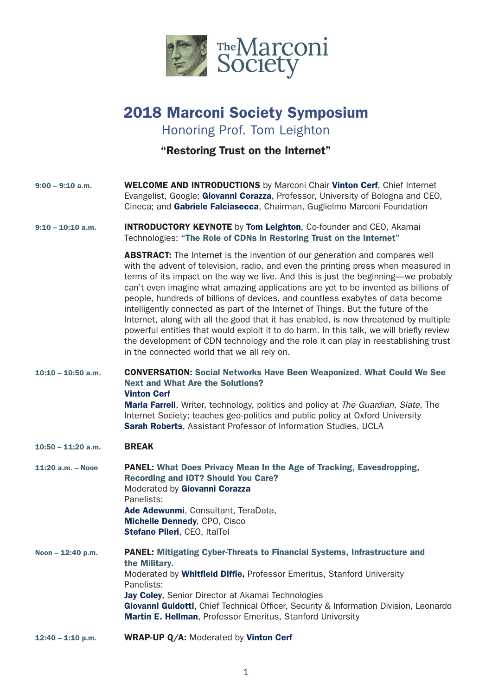

# 2018 Marconi Society Symposium

Honoring Prof. Tom Leighton

"Restoring Trust on the Internet"

| $9:00 - 9:10$ a.m.   | <b>WELCOME AND INTRODUCTIONS</b> by Marconi Chair Vinton Cerf, Chief Internet<br>Evangelist, Google; Giovanni Corazza, Professor, University of Bologna and CEO,<br>Cineca; and Gabriele Falciasecca, Chairman, Guglielmo Marconi Foundation                                                                                                                                                                                                                                                                                                                                                                                                                                                                                                                                                                                                        |
|----------------------|-----------------------------------------------------------------------------------------------------------------------------------------------------------------------------------------------------------------------------------------------------------------------------------------------------------------------------------------------------------------------------------------------------------------------------------------------------------------------------------------------------------------------------------------------------------------------------------------------------------------------------------------------------------------------------------------------------------------------------------------------------------------------------------------------------------------------------------------------------|
| $9:10 - 10:10$ a.m.  | <b>INTRODUCTORY KEYNOTE</b> by <b>Tom Leighton</b> , Co-founder and CEO, Akamai<br>Technologies: "The Role of CDNs in Restoring Trust on the Internet"                                                                                                                                                                                                                                                                                                                                                                                                                                                                                                                                                                                                                                                                                              |
|                      | <b>ABSTRACT:</b> The Internet is the invention of our generation and compares well<br>with the advent of television, radio, and even the printing press when measured in<br>terms of its impact on the way we live. And this is just the beginning—we probably<br>can't even imagine what amazing applications are yet to be invented as billions of<br>people, hundreds of billions of devices, and countless exabytes of data become<br>intelligently connected as part of the Internet of Things. But the future of the<br>Internet, along with all the good that it has enabled, is now threatened by multiple<br>powerful entities that would exploit it to do harm. In this talk, we will briefly review<br>the development of CDN technology and the role it can play in reestablishing trust<br>in the connected world that we all rely on. |
| $10:10 - 10:50$ a.m. | <b>CONVERSATION: Social Networks Have Been Weaponized. What Could We See</b><br><b>Next and What Are the Solutions?</b><br><b>Vinton Cerf</b><br>Maria Farrell, Writer, technology, politics and policy at The Guardian, Slate, The<br>Internet Society; teaches geo-politics and public policy at Oxford University<br>Sarah Roberts, Assistant Professor of Information Studies, UCLA                                                                                                                                                                                                                                                                                                                                                                                                                                                             |
| $10:50 - 11:20$ a.m. | <b>BREAK</b>                                                                                                                                                                                                                                                                                                                                                                                                                                                                                                                                                                                                                                                                                                                                                                                                                                        |
| $11:20$ a.m. - Noon  | PANEL: What Does Privacy Mean In the Age of Tracking, Eavesdropping,<br><b>Recording and IOT? Should You Care?</b><br>Moderated by Giovanni Corazza<br>Panelists:<br>Ade Adewunmi, Consultant, TeraData,<br>Michelle Dennedy, CPO, Cisco<br>Stefano Pileri, CEO, ItalTel                                                                                                                                                                                                                                                                                                                                                                                                                                                                                                                                                                            |
| Noon - 12:40 p.m.    | <b>PANEL: Mitigating Cyber-Threats to Financial Systems, Infrastructure and</b><br>the Military.<br>Moderated by Whitfield Diffie, Professor Emeritus, Stanford University<br>Panelists:<br>Jay Coley, Senior Director at Akamai Technologies<br>Giovanni Guidotti, Chief Technical Officer, Security & Information Division, Leonardo<br>Martin E. Hellman, Professor Emeritus, Stanford University                                                                                                                                                                                                                                                                                                                                                                                                                                                |
| $12:40 - 1:10$ p.m.  | WRAP-UP Q/A: Moderated by Vinton Cerf                                                                                                                                                                                                                                                                                                                                                                                                                                                                                                                                                                                                                                                                                                                                                                                                               |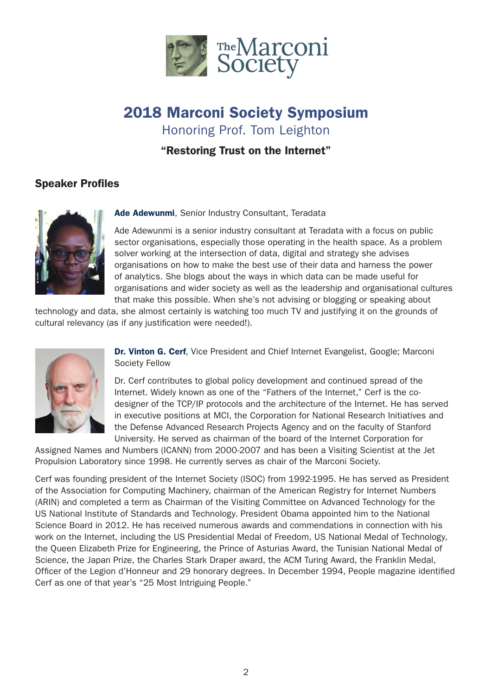

# 2018 Marconi Society Symposium Honoring Prof. Tom Leighton

"Restoring Trust on the Internet"

## Speaker Profiles



#### Ade Adewunmi, Senior Industry Consultant, Teradata

Ade Adewunmi is a senior industry consultant at Teradata with a focus on public sector organisations, especially those operating in the health space. As a problem solver working at the intersection of data, digital and strategy she advises organisations on how to make the best use of their data and harness the power of analytics. She blogs about the ways in which data can be made useful for organisations and wider society as well as the leadership and organisational cultures that make this possible. When she's not advising or blogging or speaking about

technology and data, she almost certainly is watching too much TV and justifying it on the grounds of cultural relevancy (as if any justification were needed!).



Dr. Vinton G. Cerf, Vice President and Chief Internet Evangelist, Google; Marconi Society Fellow

Dr. Cerf contributes to global policy development and continued spread of the Internet. Widely known as one of the "Fathers of the Internet," Cerf is the codesigner of the TCP/IP protocols and the architecture of the Internet. He has served in executive positions at MCI, the Corporation for National Research Initiatives and the Defense Advanced Research Projects Agency and on the faculty of Stanford University. He served as chairman of the board of the Internet Corporation for

Assigned Names and Numbers (ICANN) from 2000-2007 and has been a Visiting Scientist at the Jet Propulsion Laboratory since 1998. He currently serves as chair of the Marconi Society.

Cerf was founding president of the Internet Society (ISOC) from 1992-1995. He has served as President of the Association for Computing Machinery, chairman of the American Registry for Internet Numbers (ARIN) and completed a term as Chairman of the Visiting Committee on Advanced Technology for the US National Institute of Standards and Technology. President Obama appointed him to the National Science Board in 2012. He has received numerous awards and commendations in connection with his work on the Internet, including the US Presidential Medal of Freedom, US National Medal of Technology, the Queen Elizabeth Prize for Engineering, the Prince of Asturias Award, the Tunisian National Medal of Science, the Japan Prize, the Charles Stark Draper award, the ACM Turing Award, the Franklin Medal, Officer of the Legion d'Honneur and 29 honorary degrees. In December 1994, People magazine identified Cerf as one of that year's "25 Most Intriguing People."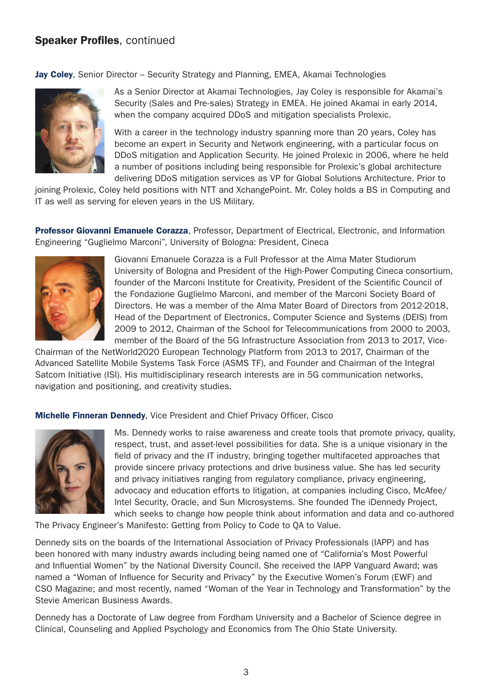Jay Coley, Senior Director – Security Strategy and Planning, EMEA, Akamai Technologies



As a Senior Director at Akamai Technologies, Jay Coley is responsible for Akamai's Security (Sales and Pre-sales) Strategy in EMEA. He joined Akamai in early 2014, when the company acquired DDoS and mitigation specialists Prolexic.

With a career in the technology industry spanning more than 20 years, Coley has become an expert in Security and Network engineering, with a particular focus on DDoS mitigation and Application Security. He joined Prolexic in 2006, where he held a number of positions including being responsible for Prolexic's global architecture delivering DDoS mitigation services as VP for Global Solutions Architecture. Prior to

joining Prolexic, Coley held positions with NTT and XchangePoint. Mr. Coley holds a BS in Computing and IT as well as serving for eleven years in the US Military.

Professor Giovanni Emanuele Corazza, Professor, Department of Electrical, Electronic, and Information Engineering "Guglielmo Marconi", University of Bologna: President, Cineca



Giovanni Emanuele Corazza is a Full Professor at the Alma Mater Studiorum University of Bologna and President of the High-Power Computing Cineca consortium, founder of the Marconi Institute for Creativity, President of the Scientific Council of the Fondazione Guglielmo Marconi, and member of the Marconi Society Board of Directors. He was a member of the Alma Mater Board of Directors from 2012-2018, Head of the Department of Electronics, Computer Science and Systems (DEIS) from 2009 to 2012, Chairman of the School for Telecommunications from 2000 to 2003, member of the Board of the 5G Infrastructure Association from 2013 to 2017, Vice-

Chairman of the NetWorld2020 European Technology Platform from 2013 to 2017, Chairman of the Advanced Satellite Mobile Systems Task Force (ASMS TF), and Founder and Chairman of the Integral Satcom Initiative (ISI). His multidisciplinary research interests are in 5G communication networks, navigation and positioning, and creativity studies.

Michelle Finneran Dennedy, Vice President and Chief Privacy Officer, Cisco



Ms. Dennedy works to raise awareness and create tools that promote privacy, quality, respect, trust, and asset-level possibilities for data. She is a unique visionary in the field of privacy and the IT industry, bringing together multifaceted approaches that provide sincere privacy protections and drive business value. She has led security and privacy initiatives ranging from regulatory compliance, privacy engineering, advocacy and education efforts to litigation, at companies including Cisco, McAfee/ Intel Security, Oracle, and Sun Microsystems. She founded The iDennedy Project, which seeks to change how people think about information and data and co-authored

The Privacy Engineer's Manifesto: Getting from Policy to Code to QA to Value.

Dennedy sits on the boards of the International Association of Privacy Professionals (IAPP) and has been honored with many industry awards including being named one of "California's Most Powerful and Influential Women" by the National Diversity Council. She received the IAPP Vanguard Award; was named a "Woman of Influence for Security and Privacy" by the Executive Women's Forum (EWF) and CSO Magazine; and most recently, named "Woman of the Year in Technology and Transformation" by the Stevie American Business Awards.

Dennedy has a Doctorate of Law degree from Fordham University and a Bachelor of Science degree in Clinical, Counseling and Applied Psychology and Economics from The Ohio State University.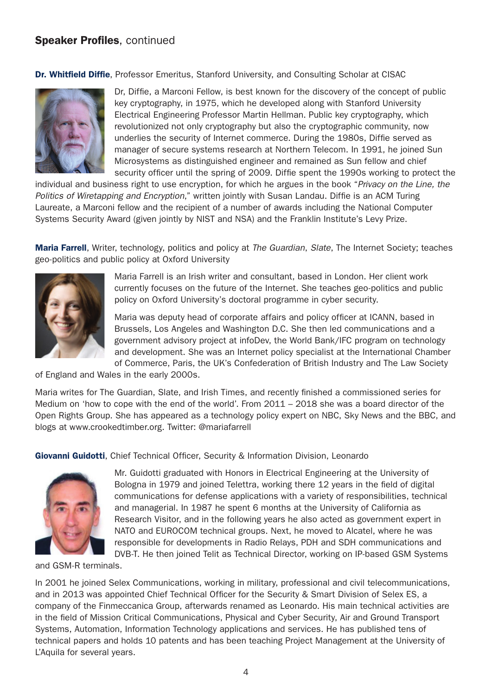Dr. Whitfield Diffie, Professor Emeritus, Stanford University, and Consulting Scholar at CISAC



Dr, Diffie, a Marconi Fellow, is best known for the discovery of the concept of public key cryptography, in 1975, which he developed along with Stanford University Electrical Engineering Professor Martin Hellman. Public key cryptography, which revolutionized not only cryptography but also the cryptographic community, now underlies the security of Internet commerce. During the 1980s, Diffie served as manager of secure systems research at Northern Telecom. In 1991, he joined Sun Microsystems as distinguished engineer and remained as Sun fellow and chief security officer until the spring of 2009. Diffie spent the 1990s working to protect the

individual and business right to use encryption, for which he argues in the book "*Privacy on the Line, the Politics of Wiretapping and Encryption*," written jointly with Susan Landau. Diffie is an ACM Turing Laureate, a Marconi fellow and the recipient of a number of awards including the National Computer Systems Security Award (given jointly by NIST and NSA) and the Franklin Institute's Levy Prize.

Maria Farrell, Writer, technology, politics and policy at *The Guardian*, *Slate*, The Internet Society; teaches geo-politics and public policy at Oxford University



Maria Farrell is an Irish writer and consultant, based in London. Her client work currently focuses on the future of the Internet. She teaches geo-politics and public policy on Oxford University's doctoral programme in cyber security.

Maria was deputy head of corporate affairs and policy officer at ICANN, based in Brussels, Los Angeles and Washington D.C. She then led communications and a government advisory project at infoDev, the World Bank/IFC program on technology and development. She was an Internet policy specialist at the International Chamber of Commerce, Paris, the UK's Confederation of British Industry and The Law Society

of England and Wales in the early 2000s.

Maria writes for The Guardian, Slate, and Irish Times, and recently finished a commissioned series for Medium on 'how to cope with the end of the world'. From 2011 – 2018 she was a board director of the Open Rights Group. She has appeared as a technology policy expert on NBC, Sky News and the BBC, and blogs at www.crookedtimber.org. Twitter: @mariafarrell

Giovanni Guidotti, Chief Technical Officer, Security & Information Division, Leonardo



Mr. Guidotti graduated with Honors in Electrical Engineering at the University of Bologna in 1979 and joined Telettra, working there 12 years in the field of digital communications for defense applications with a variety of responsibilities, technical and managerial. In 1987 he spent 6 months at the University of California as Research Visitor, and in the following years he also acted as government expert in NATO and EUROCOM technical groups. Next, he moved to Alcatel, where he was responsible for developments in Radio Relays, PDH and SDH communications and DVB-T. He then joined Telit as Technical Director, working on IP-based GSM Systems

and GSM-R terminals.

In 2001 he joined Selex Communications, working in military, professional and civil telecommunications, and in 2013 was appointed Chief Technical Officer for the Security & Smart Division of Selex ES, a company of the Finmeccanica Group, afterwards renamed as Leonardo. His main technical activities are in the field of Mission Critical Communications, Physical and Cyber Security, Air and Ground Transport Systems, Automation, Information Technology applications and services. He has published tens of technical papers and holds 10 patents and has been teaching Project Management at the University of L'Aquila for several years.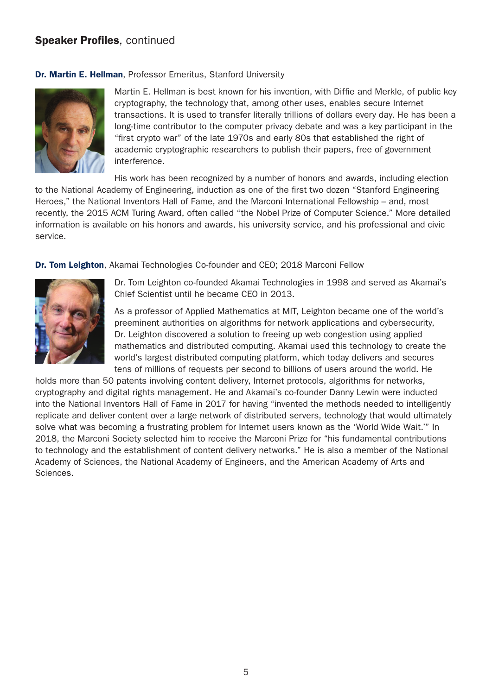#### Dr. Martin E. Hellman, Professor Emeritus, Stanford University



Martin E. Hellman is best known for his invention, with Diffie and Merkle, of public key cryptography, the technology that, among other uses, enables secure Internet transactions. It is used to transfer literally trillions of dollars every day. He has been a long-time contributor to the computer privacy debate and was a key participant in the "first crypto war" of the late 1970s and early 80s that established the right of academic cryptographic researchers to publish their papers, free of government interference.

His work has been recognized by a number of honors and awards, including election to the National Academy of Engineering, induction as one of the first two dozen "Stanford Engineering Heroes," the National Inventors Hall of Fame, and the Marconi International Fellowship – and, most recently, the 2015 ACM Turing Award, often called "the Nobel Prize of Computer Science." More detailed information is available on his honors and awards, his university service, and his professional and civic service.

Dr. Tom Leighton, Akamai Technologies Co-founder and CEO; 2018 Marconi Fellow



Dr. Tom Leighton co-founded Akamai Technologies in 1998 and served as Akamai's Chief Scientist until he became CEO in 2013.

As a professor of Applied Mathematics at MIT, Leighton became one of the world's preeminent authorities on algorithms for network applications and cybersecurity, Dr. Leighton discovered a solution to freeing up web congestion using applied mathematics and distributed computing. Akamai used this technology to create the world's largest distributed computing platform, which today delivers and secures tens of millions of requests per second to billions of users around the world. He

holds more than 50 patents involving content delivery, Internet protocols, algorithms for networks, cryptography and digital rights management. He and Akamai's co-founder Danny Lewin were inducted into the National Inventors Hall of Fame in 2017 for having "invented the methods needed to intelligently replicate and deliver content over a large network of distributed servers, technology that would ultimately solve what was becoming a frustrating problem for Internet users known as the 'World Wide Wait.'" In 2018, the Marconi Society selected him to receive the Marconi Prize for "his fundamental contributions to technology and the establishment of content delivery networks." He is also a member of the National Academy of Sciences, the National Academy of Engineers, and the American Academy of Arts and Sciences.